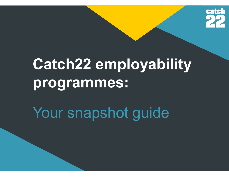

# Catch22 employability programmes:

Your snapshot guide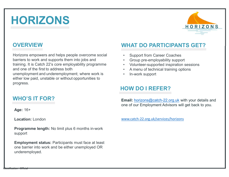# HORIZONS



#### **OVERVIEW**

Horizons empowers and helps people overcome social • Support from Career Coaches **barriers of School School School School School School School School School School School School Supports them into jobs and training. It is Catch 22's core employability programme and one of the first to address both supp** training. It is Catch 22's core employability programme<br>
The employees and helps people overcome social<br>
training. It is Catch 22's core employability programme<br>
and one of the first to address both<br>
unemployment and under and one of the first to address both unemployment and underemployment; where work is either low paid, unstable or without opportunities to progress.

#### WHO'S IT FOR?

Age: 16+

Location: London

Classification : Official

Programme length: No limit plus 6 months in-work support

Employment status: Participants must face at least one barrier into work and be either unemployed OR underemployed.

#### WHAT DO PARTICIPANTS GET?

- 
- 
- 
- 
- 

#### HOW DO I REFER?

**Email:** horizons@catch-22.org.uk with your details and one of our Employment Advisors will get back to you.

www.catch-22.org.uk/services/horizons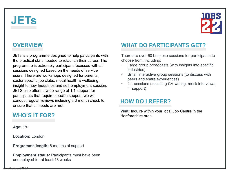# **JETs**



#### **OVERVIEW**

JETs is a programme designed to help participants with There are over 60 bespoke sessions for participants to the practical skills needed to relaunch their career. The **PROVERVIEW**<br> **PROVERVIEW**<br> **PROVERVIEW**<br> **PROVERVIEW**<br> **PROVERVIEW**<br> **PROVERVIEW**<br> **PROVERVIEW**<br> **PROVERVIEW**<br> **PROVERVIEW**<br> **PROVERVIEW**<br> **PROVERVIEW**<br> **PROVERVIEW**<br> **PROVERVIEW**<br> **PROVERVIEW**<br> **PROVERVIEW**<br> **PROVERVIEW SET SESSION CONTROVER SESSION**<br>
SETS is a programme designed to help participants with<br>
the practical skills needed to relaunch their career. The<br>
programme is extremely participant focussed with all<br>
sessions designed ba UNITENS<br>
UNITENS<br>
UNITENS IS a programme designed to help participants with<br>
the practical skills needed to relaunch their career. The<br>
programme is extremely participant focussed with all<br>
sessions designed based on the n sector specific job clubs, metal health & wellbeing, insight to new Industries and self-employment session.  $\cdot$  1:1 sessions (including CV writing, mock interviews, JETS also offers a wide range of 1:1 support for participants that require specific support, we will conduct regular reviews including a 3 month check to ensure that all needs are met. Sector specific job clubs, metal health & wellbeing,<br>
insight to new Industries and self-employment session.<br>
JETS also offers a wide range of 1:1 support for<br>
participants that require specific support, we will<br>
conduct r

#### WHO'S IT FOR?

Age: 18+

Location: London

Classification : Official

Programme length: 6 months of support

unemployed for at least 13 weeks

#### WHAT DO PARTICIPANTS GET?

choose from, including:

- WHAT DO PARTICIPANTS GET?<br>There are over 60 bespoke sessions for participants to<br>choose from, including:<br>• Large group broadcasts (with insights into specific<br>• Small interactive group sessions (to discuss with **EXECUTE:**<br> **EXECUTE:**<br>
There are over 60 bespoke sessions for participants to<br>
choose from, including:<br>
• Large group broadcasts (with insights into specific<br>
industries)<br>
• Small interactive group sessions (to discuss wi industries)
- 
- **EXECUTE SET AND SET AND POSET OF A REFERENCE AND POSTAGRED THE CONSIDENTS GET?**<br>There are over 60 bespoke sessions for participants to choose from, including:<br>• Large group broadcasts (with insights into specific industri **PERTICIPANTS GET?**<br>The are over 60 bespoke sessions for participants to<br>ose from, including:<br>Large group broadcasts (with insights into specific<br>industries)<br>Small interactive group sessions (to discuss with<br>peers and shar **EXECUTE SETS:**<br>
• 10:1 September 20:2 sessions for participants to<br>
choose from, including:<br>
• Large group broadcasts (with insights into specific<br>
industries)<br>
• Small interactive group sessions (to discuss with<br>
peers a IT support)

#### HOW DO I REFER?

Visit: Inquire within your local Job Centre in the Hertfordshire area.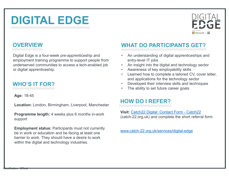# DIGITAL EDGE



#### **OVERVIEW**

DIGITAL EDGE<br>
OVERVIEW WHAT<br>
Digital Edge is a four-week pre-apprenticeship and employment training programme to support people from entry-<br>
underserved communities to access a tech-enabled job . An instance or digital app employment training programme to support people from **DIGITAL EDGE**<br>
OVERVIEW WHAT DO PARTICIP<br>
Digital Edge is a four-week pre-apprenticeship and<br>
underserved communities to access a tech-enabled job An understanding of digital<br>
underserved communities to access a tech-enab **DIGITAL EDGE**<br>
OVERVIEW<br>
Digital Edge is a four-week pre-apprenticeship and<br>
employment training programme to support people from<br>
underserved communities to access a tech-enabled job<br>
or digital apprenticeship.<br>
WHO'S IT

#### WHO'S IT FOR?

Age: 18-45

Location: London, Birmingham, Liverpool, Manchester

support

Employment status: Participants must not currently be in work or education and be facing at least one barrier to work. They should have a desire to work within the digital and technology industries.

#### WHAT DO PARTICIPANTS GET?

- <u>DIGITAL</u><br>
FIGITAL<br>
WHAT DO PARTICIPANTS GET?<br>
An understanding of digital apprenticeships and<br>
entry-level IT jobs<br>
A marines of key employability skills<br>
A wareness of key employability skills<br>
A wareness of key employa entry-level IT jobs
- 
- 
- WHAT DO PARTICIPANTS GET?<br>
 An understanding of digital apprenticeships and<br>
entry-level IT jobs<br>
 An insight into the digital and technology sector<br>
 Awareness of key employability skills<br>
 Learned how to complete a t **EDIGITAL**<br> **EDIGITAL**<br> **EDIGITAL**<br> **EDIGITAL**<br>
An understanding of digital apprenticeships and<br>
entry-level IT jobs<br>
An insight into the digital and technology sector<br>
An insight into the digital and technology sector<br>
Le <u>DIGITAL</u><br>
EDGITAL<br>
WHAT DO PARTICIPANTS GET?<br>
An understanding of digital apprenticeships and<br>
entry-level IT jobs<br>
An insight into the digital and technology sector<br>
• Awareness of key employability skills<br>
• Learned ho and applications for the technology sector WHAT DO PARTICIPANTS GET?<br>
• An understanding of digital apprenticeships and<br>
entry-level IT jobs<br>
• An insight into the digital and technology sector<br>
• Awareness of key employability skills<br>
• Learned how to complete a t WHAT DO PARTICIPANTS GET?<br>
• An understanding of digital apprenticeships and<br>
entry-level IT jobs<br>
• An understanding of digital apprenticeships and<br>
• An insight into the digital and technology sector<br>
• Awareness of key WHAT DO PARTICIPANTS GET?<br>
• An understanding of digital apprenticeships and<br>
entry-level IT jobs<br>
• An insight into the digital and technology sector<br>
• Awareness of key employability skills<br>
• Learned how to complete a t WHAT DO PARTICIPANTS GET?<br>
• An understanding of digital apprenticeships and<br>
entry-level IT jobs<br>
• An insight into the digital and technology sector<br>
• Awareness of key employability skills<br>
• Learned how to complete a t
- 
- 

#### HOW DO I REFER?

**Programme length:** 4 weeks plus 6 months in-work **Visit:** Catch 22 Digital: Contact Form - Catch 22<br>(catch-22.org.uk) and complete the short referral form

www.catch-22.org.uk/services/digital-edge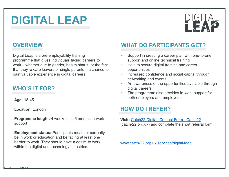# DIGITAL LEAP



#### **OVERVIEW**

DIGITAL LEAP<br>
Digital Leap is a pre-employability training<br>
Digital Leap is a pre-employability training<br>
programme that gives individuals facing barriers to<br>
work – whether due to gender, health status, or the fact<br>
cain **DIGITAL LEAP**<br>
Digital Leap is a pre-employability training<br>
programme that gives individuals facing barriers to<br>
work – whether due to gender, health status, or the fact<br>
that they're care leavers or single parents – a c **DIGITAL LEAP**<br>
Digital Leap is a pre-employability training<br>
Digital Leap is a pre-employability training<br>
programme that gives individuals facing barriers to<br>
work – whether due to gender, health status, or the fact<br>
tha **DIGITAL LEAP**<br>
Digital Leap is a pre-employability training<br>
programme that gives individuals facing barriers to<br>
programme that gives individuals facing barriers to<br>
work – whether due to gender, health status, or the fa gain valuable experience in digital careers

#### WHO'S IT FOR?

Age: 18-45

Location: London

Classification : Official

Programme length: 4 weeks plus 6 months in-work visit: Catch22 Digital: Contact Form - Catch22 support

Employment status: Participants must not currently be in work or education and be facing at least one barrier to work. They should have a desire to work within the digital and technology industries.

#### WHAT DO PARTICIPANTS GET?

- 
- opportunities
- 
- digital careers WHAT DO PARTICIPANTS GET?<br>
• Support in creating a career plan with one-to-one<br>
support and online technical training<br>
• Help to secure digital training and career<br>
• poportunities<br>
• Increased confidence and social capita WHAT DO PARTICIPANTS GET?<br>
• Support in creating a career plan with one-to-one<br>
support and online technical training<br>
• Help to secure digital training and career<br>
• opportunities<br>
• Increased confidence and social capita (example) and online technical training<br>
(example) the secure digital training<br>
(expertmities<br>
(example) the secure digital training and career<br>
(example) the short referral form referral form digital careers<br>
(example) th
- both employers and employees

#### HOW DO I REFER?

www.catch-22.org.uk/services/digital-leap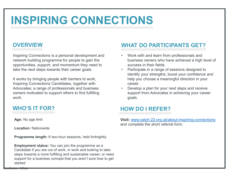# INSPIRING CONNECTIONS

#### **OVERVIEW**

Inspiring Connections is a personal development and **Connect 10 vertebra.** Work with and learn from professionals and network building programme for people to gain the opportunities, support, and momentum they need to take the next steps towards their career goals.

It works by bringing people with barriers to work, Inspiring Connections Candidates, together with Advocates; a range of professionals and business owners motivated to support others to find fulfilling work.

#### WHO'S IT FOR?

Age: No age limit

Classification : Official

Location: Nationwide

Programme length: 6 two-hour sessions, held fortnightly

Employment status: You can join the programme as a Candidate if you are out of work, in work and looking to take steps towards a more fulfilling and sustainable career, or need support for a business concept that you aren't sure how to get started

#### WHAT DO PARTICIPANTS GET?

- **FIONS**<br>
WHAT DO PARTICIPANTS GET?<br>
 Work with and learn from professionals and<br>
business owners who have achieved a high level of<br>
success in their fields.<br>
 Participate in a range of sessions designed to<br>
identify your business owners who have achieved a high level of success in their fields.
- Participate in a range of sessions designed to **INS<br>
INTERNATE DO PARTICIPANTS GET?**<br>
Work with and learn from professionals and<br>
business owners who have achieved a high level of<br>
success in their fields.<br>
Participate in a range of sessions designed to<br>
identify your help you choose a meaningful direction in your career. **FIONS**<br>
• Work with and learn from professionals and<br>
business owners who have achieved a high level of<br>
success in their fields.<br>
• Participate in a range of sessions designed to<br>
• Participate in a range of sessions des
- support from Advocates in achieving your career goals.

#### HOW DO I REFER?

Visit: www.catch-22.org.uk/about-inspiring-connections and complete the short referral form.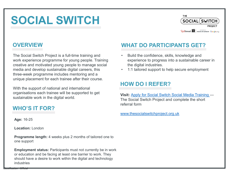# SOCIAL SWITCH



#### **OVERVIEW**

SOCIAL SWITCH<br>
The Social Switch Project is a full-time training and<br>
WHAT DO PAR<br>
The Social Switch Project is a full-time training and<br>
work experience programme for young people. Training<br>
creative and develop sustainab work experience programme for young people. Training experience to progress into a sustainable career in creative and motivated young people to manage social media and develop sustainable digital careers, this three-week programme includes mentoring and a unique placement for each trainee after their course. Programme length: 4 weeks plus 2 months of tailored one to<br>
Programme includes media and develop sustainable digital careers, this<br>
The digital industries.<br>
With the support of national and international<br>
With the support

With the support of national and international organisations each trainee will be supported to get sustainable work in the digital world.

#### WHO'S IT FOR?

Age: 16-25

Location: London

Classification : Official

one support

Employment status: Participants must not currently be in work or education and be facing at least one barrier to work. They should have a desire to work within the digital and technology industries

#### WHAT DO PARTICIPANTS GET?

- <sup>THE</sup><br> **EXPLORERTICIPANTS GET?**<br>
Build the confidence, skills, knowledge and<br>
experience to progress into a sustainable career in<br>
the digital industries.<br>
1:1 tailored support to help secure employment  $\begin{tabular}{c} \hline \textbf{THE} & \textbf{GOCIAL}(\textbf{SWITCH}) \\ \hline \textbf{PROIECT} \\ \textbf{PARTIO} \textbf{PARTICIPANTS GET?} \\ \text{Build the confidence, skills, knowledge and experience to progress into a sustainable career in the digital industries. \\ \hline \textbf{1:1 tailored support to help secure employment} \end{tabular}$ the digital industries. <sup>THE</sup><br>
SOCIAL (SWITCH)<br>
<sup>Redithread</sup> <sup>22</sup> Medicines Societion<br> **WHAT DO PARTICIPANTS GET?**<br>
• Build the confidence, skills, knowledge and<br>
experience to progress into a sustainable career in<br>
the digital industries.<br>
• 1:1 The Society<br>
The Society<br>
The Society<br>
The Social Switch Project and experience to progress into a sustainable career in<br>
the digital industries.<br>
1:1 tailored support to help secure employment<br> **HOW DO I REFER?**<br>
The Soci
- 

#### HOW DO I REFER?

Visit: Apply for Social Switch Social Media Training referral form

www.thesocialswitchproject.org.uk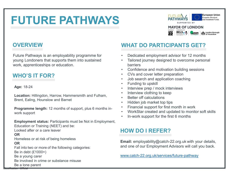# FUTURE PATHWAYS<br>
MAYOR OF LONDON FUTURE PATHWAYS<br>
OVERVIEW WHAT D<br>
Future Pathways is an employability programme for Contribution<br>
young Londoners that supports them into sustained Contribution<br>
WHAT D<br>
WHAT DESCRIPS CONSIDERS FUTURE PATHWAYS<br>
OVERVIEW WHAT DC<br>
Future Pathways is an employability programme for<br>
young Londoners that supports them into sustained Confidence<br>
work, apprenticeships or education.<br>
WHO'S IT FOR?<br>
Confidence<br>
Confidence



#### **OVERVIEW**

young Londoners that supports them into sustained • Tailored journey designed to overcome personal **Solution Contained States (Solution Contained States)**<br>
States an employability programme for<br>
States (Section Confidence into sustained Confidence into the premiceships or education.<br>
Age: 18-24<br>
Age: 18-24<br>
Location: Hi Example Software Particular Software Status: Participants then the Not in Employment status: Participants must be Not in Employment,<br>
Employability programme for<br>
Softence and motivation busines barriers<br>
Age: 18-24<br>
Age:

#### WHO'S IT FOR?

#### Age: 18-24

Location: Hillingdon, Harrow, Hammersmith and Fulham,<br> **Location:** Hillingdon, Harrow, Hammersmith and Fulham,<br> **Container Struth Participate Struth Participate Struth Participate Struth Participate Struth Participate Stru** 

Programme length: 12 months of support, plus 6 months inwork support

Education or Training (NEET) and be:

Looked after or a care leaver

#### OR the contract of the contract of the contract of the contract of the contract of the contract of the contract of the contract of the contract of the contract of the contract of the contract of the contract of the contrac

Homeless or at risk of being homeless

#### OR the contract of the contract of the contract of the contract of the contract of the contract of the contract of the contract of the contract of the contract of the contract of the contract of the contract of the contrac

Classification : Official

Fall into two or more of the following categories: Be in debt (£1000+) Be a young carer Be involved in crime or substance misuse Be a lone parent

#### WHAT DO PARTICIPANTS GET?

- 
- barriers **EXECT:**<br>
WHAT DO PARTICIPANTS GET?<br>
• Dedicated employment advisor for 12 months<br>
• Tailored journey designed to overcome personal<br>
barriers<br>
• Confidence and motivation building sessions<br>
• Us sanct and application coach **EXECTS FOR SUBDANTS GET?**<br>• Dedicated employment advisor for 12 months<br>• Tailored journey designed to overcome personal<br>barriers<br>• Confidence and motivation building sessions<br>• CVs and cover letter preparation<br>• Job searc WHAT DO PARTICIPANTS GET?<br>
• Dedicated employment advisor for 12 months<br>
• Tailored journey designed to overcome personal<br>
barriers<br>
• Confidence and motivation building sessions<br>
• Uses and cover letter preparation<br>
• Int WHAT DO PARTICIPANTS GET?<br>
• Dedicated employment advisor for 12 months<br>
• Tailored journey designed to overcome personal<br>
barriers<br>
• Confidence and motivation building sessions<br>
• Use support the first preparation<br>
• Hun
- 
- 
- 
- 
- 
- 
- 
- 
- 
- 
- 

#### HOW DO I REFER?

Email: employability@catch-22.org.uk with your details, and one of our Employment Advisors will call you back.

www.catch-22.org.uk/services/future-pathway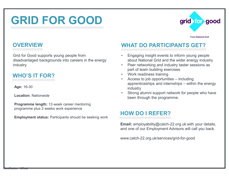## GRID FOR GOOD

#### **OVERVIEW**

GRID FOR GOOD<br>
OVERVIEW WHAT DO<br>
Grid for Good supports young people from Crispaging in<br>
disadvantaged backgrounds into careers in the energy<br>
MUOIS LEGRE disadvantaged backgrounds into careers in the energy industry. **Programme plus 2 weeks work experience**<br> **Programme plus 2 weeks work experience**<br> **Programme plus 2 weeks work experience**<br> **Programme plus 2 weeks work experience**<br> **Programme plus 2 weeks work experience**<br> **Employment** 

#### WHO'S IT FOR?

Age: 16-30

Location: Nationwide

Programme length: 12-week career mentoring

Employment status: Participants should be seeking work

#### WHAT DO PARTICIPANTS GET?

- **grid for good**<br>
From National Grid<br>
WHAT DO PARTICIPANTS GET?<br>
 Engaging insight events to inform young people<br>
about National Grid and the wider energy industry<br>
 Peer networking and industry taster sessions as<br>
part o about National Grid and the wider energy industry **grid for good**<br> **WHAT DO PARTICIPANTS GET?**<br>
• Engaging insight events to inform young people<br>
about National Grid and the wider energy industry<br>
• Peer networking and industry taster sessions as<br>
part of team building ex
- part of team building exercises
- 
- **grid School School School School School School School School School School School School School School School School School School School School School School School School School School School School School School School grid for good**<br> **WHAT DO PARTICIPANTS GET?**<br>
• Engaging insight events to inform young people<br>
about National Grid and the wider energy industry<br>
• Peer networking and industry taster sessions as<br>
part of team building ex **grid for good**<br>
From National Grid<br>
From National Grid<br>
Engaging insight events to inform young people<br>
about National Grid and the wider energy industry<br>
Peer networking and industry taster sessions as<br>
part of team buil industry **grid for good**<br> **WHAT DO PARTICIPANTS GET?**<br>
• Engaging insight events to inform young people<br>
about National Grid and the wider energy industry<br>
• Peer networking and industry taster sessions as<br>
extract for team buildin
- been through the programme.

#### HOW DO I REFER?

Email: employability@catch-22.org.uk with your details, and one of our Employment Advisors will call you back.

www.catch-22.org.uk/services/grid-for-good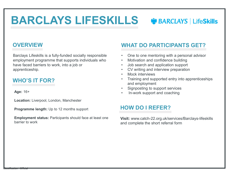# BARCLAYS LIFESKILLS WBARCLAYS | LifeSkills **BARCLAYS LIFESKILLS OF BAI**<br>
OVERVIEW WHAT DO PARTIC<br>
Barclays Lifeskills is a fully-funded socially responsible employment programme that supports individuals who<br>
And there faced barriers to work, into a job or<br>  $\therefore$  • One to one mentoring with a personal advisor **• MEARCLAYS** Life**Skills**<br>
WHAT DO PARTICIPANTS GET?<br>
• One to one mentoring with a personal advisor<br>
• Motivation and confidence building<br>
• Job search and application support<br>
• CV writing and interview preparation<br>
• M

#### **OVERVIEW**

employment programme that supports individuals who **Communist Containst Constance** building have faced barriers to work, into a job or apprenticeship.

#### WHO'S IT FOR?

Age: 16+

Location: Liverpool, London, Manchester

Programme length: Up to 12 months support

Employment status: Participants should face at least one barrier to work

#### WHAT DO PARTICIPANTS GET?

- 
- 
- 
- 
- 
- **Example 18 Search And Analytical Search and Search Analytic Search and Search and application support**<br>• Job search and application support<br>• Job search and application support<br>• CV writing and interview preparation<br>• Moc **• CV BARCLAYS | LifeSkills**<br>
WHAT DO PARTICIPANTS GET?<br>
• One to one mentoring with a personal advisor<br>
• Motivation and confidence building<br>
• Job search and application support<br>
• CV writing and interview preparation<br>
• **SECONS CONSIDENTS CONSIDENTS CONSIDENTS CONSIDENTS CONSIDENTS CONSIDENTS CONSIDENTS CONSIDENTS CONSIDENTS CONSIDENTS (SUPPRESENTS CONSIDENTS)<br>
• Motivation and confidence building<br>
• Job search and application support<br>
• • The School School School School School School School School School School School School School School School School School School School School School School School School School School School School School School Schoo** and employment **ES CONSTREMANT SET?**<br>
• One to one mentoring with a personal advisor<br>
• One to one mentoring with a personal advisor<br>
• Motivation and application support<br>
• CV writing and application support<br>
• CV writing and interview **Example 18 CONTROVER SUBARCLAYS | LifeSkills**<br>
WHAT DO PARTICIPANTS GET?<br>
• One to one mentoring with a personal advisor<br>
• Motivation and confidence building<br>
• Job search and application support<br>
• CV writing and interv • One to one mentoring with a personal advisor<br>
• Motivation and confidence building<br>
• Job search and application support<br>
• CV writing and interview preparation<br>
• Mock interviews<br>
• Training and supported entry into app
- 
- 

#### HOW DO I REFER?

Visit: www.catch-22.org.uk/services/Barclays-lifeskills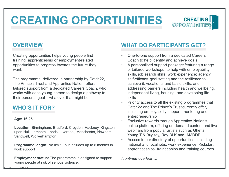# CREATING OPPORTUNITIES OPPORTUNITIES CREATING OPPORTUNITI<br>
OVERVIEW WHAT DO<br>
Creating opportunities helps young people find training, apprenticeship or employment-related<br>
The programme delivered in partnership by Catch22<br>
The programme delivered in partnersh



Creating opportunities helps young people find opportunities to progress towards the future they want.

The programme, delivered in partnership by Catch22, The Prince's Trust and Apprentice Nation, offers tailored support from a dedicated Careers Coach, who works with each young person to design a pathway to CHATTING COVER<br>
Creating opportunities helps young people find<br>
training, apprenticeship or employment-related<br>
opportunities to progress towards the future they<br>
what coach to<br>
want.<br>
The programme, delivered in partnersh

#### WHO'S IT FOR?

#### Age: 16-25

Classification : Official

Location: Birmingham, Bradford, Croydon, Hackney, Kingston<br>upon Hull Lambeth Loods Liverpool Manchester Newborn webinars from popular artists such as Ghetts, upon Hull, Lambeth, Leeds, Liverpool, Manchester, Newham, weblinars from popular artists such as Griet<br>Young T & Bugsey, Ray BLK and IAMDDB Sandwell, Wolverhampton

work support

Employment status: The programme is designed to support young people at risk of serious violence.

#### WHAT DO PARTICIPANTS GET?

- Coach to help identify and achieve goals
- varit.<br>
Programme, delivered in partnership by Catch22,<br>
The Prince's Trust and Apprentice Nation, offers<br>
and the Prince's Trust and Apprentice Nation, offers<br>
and the programme langth: vocation and basis to sill and the **Solution CREATING CONSECT AND THE SUBDERTUNITIES WHAT DO PARTICIPANTS GET?**<br>
• One-to-one support from a dedicated Careers<br>
Coach to help identify and achieve goals<br>
• A personalised support package: featuring a range<br>
of **Solution CREATING**<br> **ESPECTIVES**<br> **EXECTIVE PERSONALLY CONSECT?**<br>
• One-to-one support from a dedicated Careers<br>
Coach to help identify and achieve goals<br>
• A personalised support package: featuring a range<br>
of tailored w of tailored workshops, to help with employability skills, job search skills, work experience; agency, self-efficacy, goal setting and the resilience to achieve it; vocational and basic skills; and addressing barriers including health and wellbeing, independent living, housing, and developing life skills **WHAT DO PARTICIPANTS GET?**<br>
• One-to-one support from a dedicated Careers<br>
Coach to help identify and achieve goals<br>
• A personalised support package: featuring a range<br>
of tailored workshops, to help with employability<br> • One-to-one support from a dedicated Careers<br>
Coach to help identify and achieve goals<br>
• A personalised support package: featuring a range<br>
of tailored workshops, to help with employability<br>
skills, job search skills, wo One-to-one support from a dedicated Careers<br>Coach to help identify and achieve goals<br>A personalised support package: featuring a range<br>of tailored workshops, to help with employability<br>skills, job search skills, work exper Coach to nelp ldentity and achieve goals<br>A personalised support package: featuring a range<br>of tailored workshops, to help with employability<br>of tailored workshops, to help with employability<br>skills, job search skills, work • A personalised support package: reaturing a range<br>of tailored workshops, to help with employability<br>skills, job search skills, work experience; agency,<br>self-efficacy, goal setting and the resilience to<br>achieve it; vocati skills, job search skills, work experience; agency,<br>self-efficacy, goal setting and the resilience to<br>achieve it; vocational and basic skills; and<br>addressing barriers including health and wellbeing,<br>independent living, hou
	- Catch22 and The Prince's Trust currently offer, including employability support, mentoring and entrepreneurship
	- online platform, offering on-demand content and live
	- national and local jobs, work experience, Kickstart,

(continue overleaf…)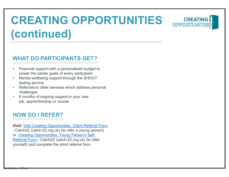# CREATING OPPORTUNITIES CREATING (continued) CREATING OPPORTU<br>
(continued)<br>
WHAT DO PARTICIPANTS GET?<br>
• Financial support with a personalised budget to<br>
• Mental wellbeing support through the SHOUT<br>
• Referrals to other services which address personal **CREATING OPPORTL<br>
(CONTINUED)**<br>
WHAT DO PARTICIPANTS GET?<br>
• Financial support with a personalised budget to<br>
• Mental wellbeing support through the SHOUT<br>
• Mental wellbeing support through the SHOUT<br>
• Referrals to othe **CREATING OPPORTUN<br>
(CONTINUED)**<br>
WHAT DO PARTICIPANTS GET?<br>
• Financial support with a personalised budget to<br>
• ower the career goals of every participant<br>
• Mental wellbeing support through the SHOUT<br>
texting service<br>
• **CONTINUED (CONTINUED)**<br>
WHAT DO PARTICIPANTS GET?<br>
• Financial support with a personalised budget to<br>
power the career goals of every participant<br>
• Mental wellbeing support through the SHOUT<br>
texting service<br>
• Referrals **in the Conduct of the Conduct of the Conduct of the Conduct of Conduct Science (Science or conducted Metal wellbeing support through the SHOUT texting service<br>power the career goals of every participant Mental wellbeing s**

#### WHAT DO PARTICIPANTS GET?

- power the career goals of every participant
- texting service
- challenges
- 

#### HOW DO I REFER?

Classification : Official

WHAT DO PARTICIPANTS GET?<br>
• Financial support with a personalised budget to<br>
power the career goals of every participant<br>
• Mental wellbeing support through the SHOUT<br>
texting service<br>
• Referrals to other services which WHAT DO PARTICIPANTS GET?<br>
• Financial support with a personalised budget to<br>
power the career goals of every participant<br>
• Mental wellbeing support through the SHOUT<br>
texting service<br>
• Referrals to other services which or Creating Opportunities: Young Person's Self-Financial support with a personalised budget to<br>
power the career goals of every participant<br>
Mental wellbeing support through the SHOUT<br>
texting service<br>
Referrals to other services which address personal<br>
challenges<br>
6 m Francian support what a besonalised bought<br>
power the career goals of every participant<br>
• Mental wellbeing support through the SHOUT<br>
texting service<br>
• Referrals to other services which address personal<br>
challenges<br>
• 6